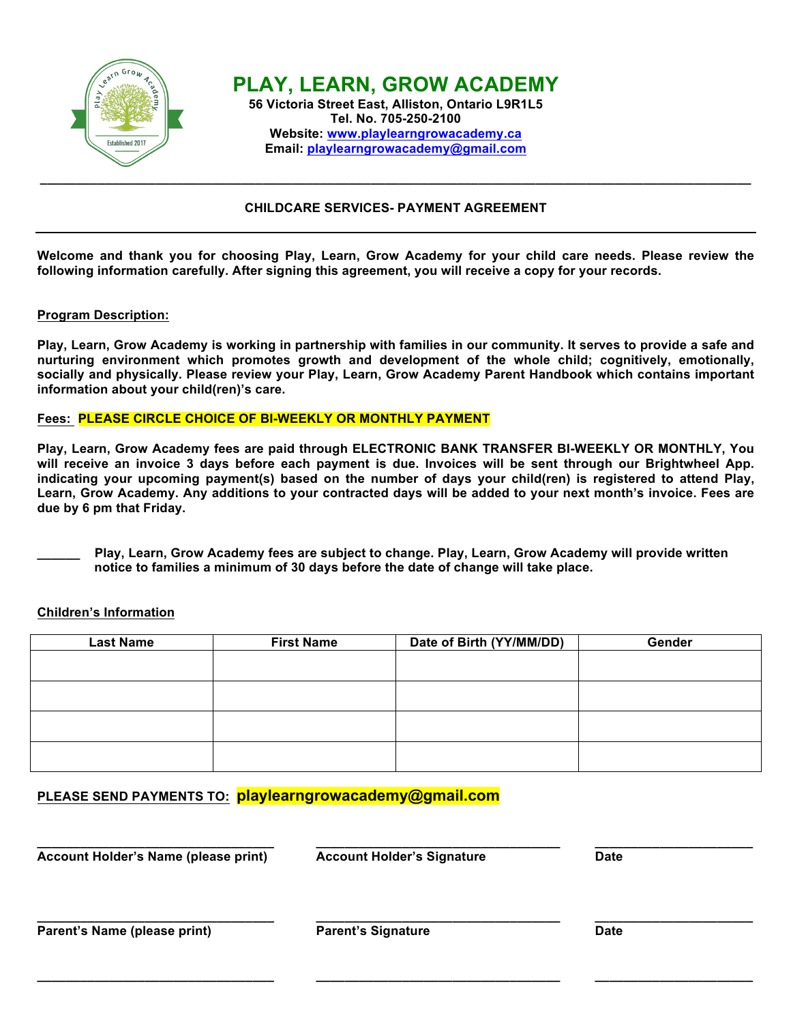

# **CHILDCARE SERVICES- PAYMENT AGREEMENT**

**Welcome and thank you for choosing Play, Learn, Grow Academy for your child care needs. Please review the following information carefully. After signing this agreement, you will receive a copy for your records.**

#### **Program Description:**

**Play, Learn, Grow Academy is working in partnership with families in our community. It serves to provide a safe and nurturing environment which promotes growth and development of the whole child; cognitively, emotionally, socially and physically. Please review your Play, Learn, Grow Academy Parent Handbook which contains important information about your child(ren)'s care.**

### **Fees: PLEASE CIRCLE CHOICE OF BI-WEEKLY OR MONTHLY PAYMENT**

**Play, Learn, Grow Academy fees are paid through ELECTRONIC BANK TRANSFER BI-WEEKLY OR MONTHLY, You**  will receive an invoice 3 days before each payment is due. Invoices will be sent through our Brightwheel App. **indicating your upcoming payment(s) based on the number of days your child(ren) is registered to attend Play, Learn, Grow Academy. Any additions to your contracted days will be added to your next month's invoice. Fees are due by 6 pm that Friday.**

**\_\_\_\_\_\_ Play, Learn, Grow Academy fees are subject to change. Play, Learn, Grow Academy will provide written notice to families a minimum of 30 days before the date of change will take place.**

# **Children's Information**

| <b>Last Name</b> | <b>First Name</b> | Date of Birth (YY/MM/DD) | Gender |
|------------------|-------------------|--------------------------|--------|
|                  |                   |                          |        |
|                  |                   |                          |        |
|                  |                   |                          |        |
|                  |                   |                          |        |
|                  |                   |                          |        |

# **PLEASE SEND PAYMENTS TO: playlearngrowacademy@gmail.com**

| Account Holder's Name (please print) | <b>Account Holder's Signature</b> | <b>Date</b> |  |
|--------------------------------------|-----------------------------------|-------------|--|
| Parent's Name (please print)         | <b>Parent's Signature</b>         | <b>Date</b> |  |

**\_\_\_\_\_\_\_\_\_\_\_\_\_\_\_\_\_\_\_\_\_\_\_\_\_\_\_\_\_\_\_\_\_ \_\_\_\_\_\_\_\_\_\_\_\_\_\_\_\_\_\_\_\_\_\_\_\_\_\_\_\_\_\_\_\_\_\_ \_\_\_\_\_\_\_\_\_\_\_\_\_\_\_\_\_\_\_\_\_\_**